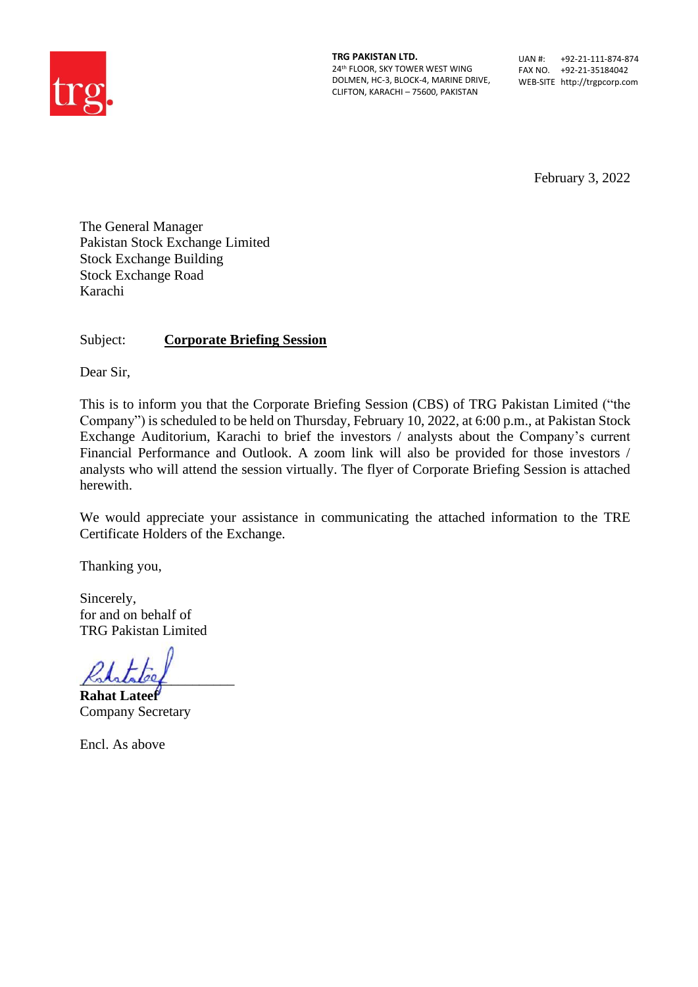

**TRG PAKISTAN LTD.** 24th FLOOR, SKY TOWER WEST WING DOLMEN, HC-3, BLOCK-4, MARINE DRIVE, CLIFTON, KARACHI – 75600, PAKISTAN

UAN #: +92-21-111-874-874 FAX NO. +92-21-35184042 WEB-SITE http://trgpcorp.com

February 3, 2022

The General Manager Pakistan Stock Exchange Limited Stock Exchange Building Stock Exchange Road Karachi

Subject: **Corporate Briefing Session**

Dear Sir,

This is to inform you that the Corporate Briefing Session (CBS) of TRG Pakistan Limited ("the Company") is scheduled to be held on Thursday, February 10, 2022, at 6:00 p.m., at Pakistan Stock Exchange Auditorium, Karachi to brief the investors / analysts about the Company's current Financial Performance and Outlook. A zoom link will also be provided for those investors / analysts who will attend the session virtually. The flyer of Corporate Briefing Session is attached herewith.

We would appreciate your assistance in communicating the attached information to the TRE Certificate Holders of the Exchange.

Thanking you,

Sincerely, for and on behalf of TRG Pakistan Limited

 $K$ ststaleef

**Rahat Lateef** Company Secretary

Encl. As above